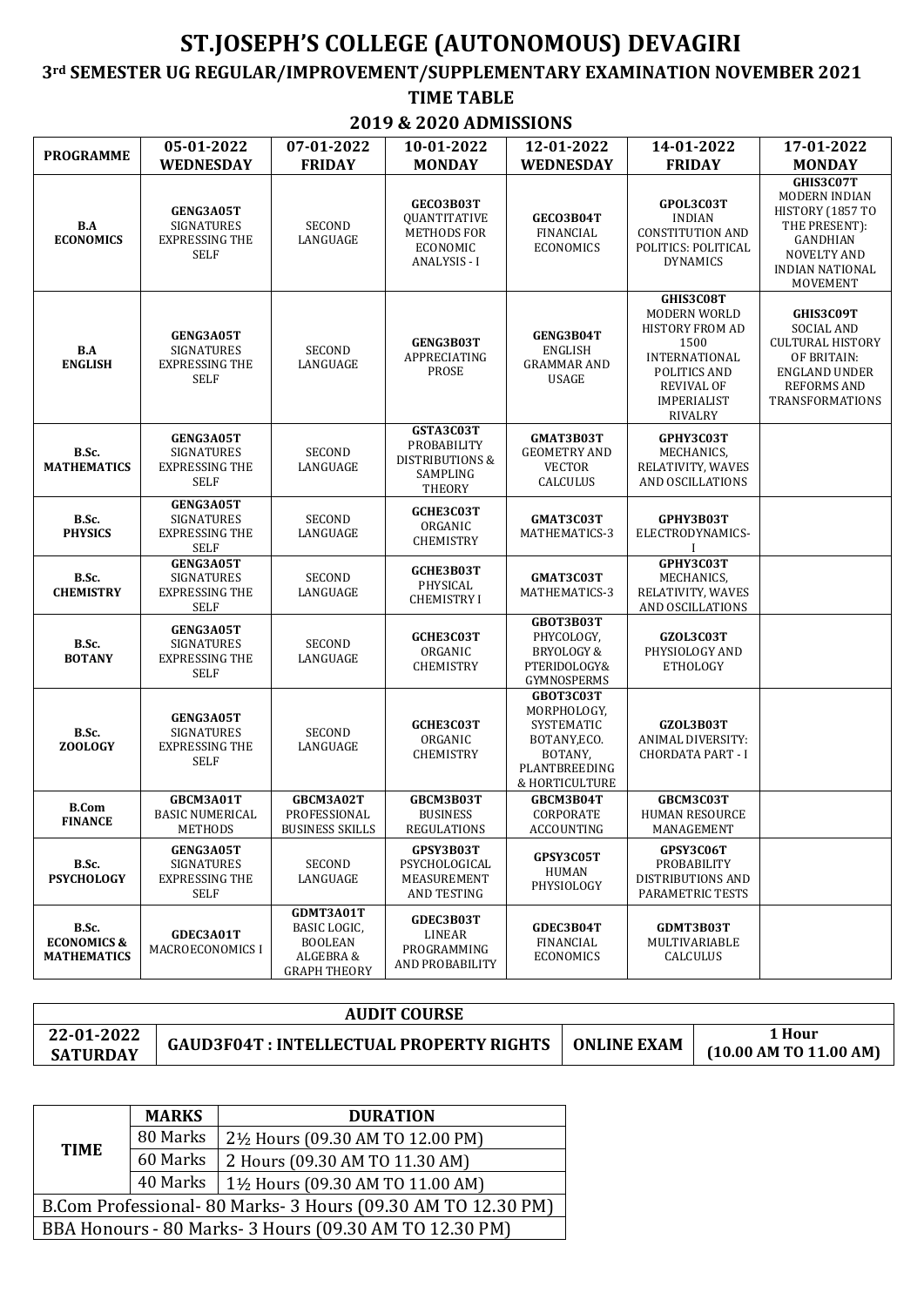## **ST.JOSEPH'S COLLEGE (AUTONOMOUS) DEVAGIRI**

## **3rd SEMESTER UG REGULAR/IMPROVEMENT/SUPPLEMENTARY EXAMINATION NOVEMBER 2021 TIME TABLE**

**2019 & 2020 ADMISSIONS**

| <b>PROGRAMME</b>                                      | 05-01-2022                                                                    | 07-01-2022                                                                      | 10-01-2022                                                                                | 12-01-2022                                                                                           | 14-01-2022                                                                                                                                                              | 17-01-2022                                                                                                                              |
|-------------------------------------------------------|-------------------------------------------------------------------------------|---------------------------------------------------------------------------------|-------------------------------------------------------------------------------------------|------------------------------------------------------------------------------------------------------|-------------------------------------------------------------------------------------------------------------------------------------------------------------------------|-----------------------------------------------------------------------------------------------------------------------------------------|
|                                                       | <b>WEDNESDAY</b>                                                              | <b>FRIDAY</b>                                                                   | <b>MONDAY</b>                                                                             | <b>WEDNESDAY</b>                                                                                     | <b>FRIDAY</b>                                                                                                                                                           | <b>MONDAY</b>                                                                                                                           |
| B.A<br><b>ECONOMICS</b>                               | <b>GENG3A05T</b><br><b>SIGNATURES</b><br><b>EXPRESSING THE</b><br><b>SELF</b> | SECOND<br>LANGUAGE                                                              | GECO3B03T<br>QUANTITATIVE<br><b>METHODS FOR</b><br><b>ECONOMIC</b><br><b>ANALYSIS - I</b> | GECO3B04T<br><b>FINANCIAL</b><br><b>ECONOMICS</b>                                                    | GPOL3C03T<br><b>INDIAN</b><br><b>CONSTITUTION AND</b><br>POLITICS: POLITICAL<br><b>DYNAMICS</b>                                                                         | GHIS3C07T<br><b>MODERN INDIAN</b><br>HISTORY (1857 TO<br>THE PRESENT):<br>GANDHIAN<br><b>NOVELTY AND</b><br>INDIAN NATIONAL<br>MOVEMENT |
| B.A<br><b>ENGLISH</b>                                 | GENG3A05T<br><b>SIGNATURES</b><br><b>EXPRESSING THE</b><br><b>SELF</b>        | <b>SECOND</b><br>LANGUAGE                                                       | GENG3B03T<br>APPRECIATING<br>PROSE                                                        | GENG3B04T<br><b>ENGLISH</b><br><b>GRAMMAR AND</b><br>USAGE                                           | GHIS3C08T<br><b>MODERN WORLD</b><br><b>HISTORY FROM AD</b><br>1500<br><b>INTERNATIONAL</b><br>POLITICS AND<br><b>REVIVAL OF</b><br><b>IMPERIALIST</b><br><b>RIVALRY</b> | GHIS3C09T<br><b>SOCIAL AND</b><br><b>CULTURAL HISTORY</b><br>OF BRITAIN:<br>ENGLAND UNDER<br><b>REFORMS AND</b><br>TRANSFORMATIONS      |
| B.Sc.<br><b>MATHEMATICS</b>                           | GENG3A05T<br><b>SIGNATURES</b><br><b>EXPRESSING THE</b><br><b>SELF</b>        | <b>SECOND</b><br>LANGUAGE                                                       | GSTA3C03T<br>PROBABILITY<br><b>DISTRIBUTIONS &amp;</b><br>SAMPLING<br><b>THEORY</b>       | GMAT3B03T<br><b>GEOMETRY AND</b><br><b>VECTOR</b><br>CALCULUS                                        | GPHY3C03T<br>MECHANICS,<br>RELATIVITY, WAVES<br>AND OSCILLATIONS                                                                                                        |                                                                                                                                         |
| B.Sc.<br><b>PHYSICS</b>                               | GENG3A05T<br><b>SIGNATURES</b><br><b>EXPRESSING THE</b><br>SELF               | <b>SECOND</b><br>LANGUAGE                                                       | GCHE3C03T<br>ORGANIC<br><b>CHEMISTRY</b>                                                  | GMAT3C03T<br>MATHEMATICS-3                                                                           | GPHY3B03T<br>ELECTRODYNAMICS-                                                                                                                                           |                                                                                                                                         |
| B.Sc.<br><b>CHEMISTRY</b>                             | GENG3A05T<br><b>SIGNATURES</b><br><b>EXPRESSING THE</b><br><b>SELF</b>        | <b>SECOND</b><br>LANGUAGE                                                       | GCHE3B03T<br>PHYSICAL<br><b>CHEMISTRY I</b>                                               | GMAT3C03T<br>MATHEMATICS-3                                                                           | GPHY3C03T<br>MECHANICS,<br>RELATIVITY, WAVES<br>AND OSCILLATIONS                                                                                                        |                                                                                                                                         |
| B.Sc.<br><b>BOTANY</b>                                | <b>GENG3A05T</b><br><b>SIGNATURES</b><br><b>EXPRESSING THE</b><br><b>SELF</b> | SECOND<br>LANGUAGE                                                              | GCHE3C03T<br>ORGANIC<br><b>CHEMISTRY</b>                                                  | GBOT3B03T<br>PHYCOLOGY,<br>BRYOLOGY &<br>PTERIDOLOGY&<br>GYMNOSPERMS                                 | GZOL3C03T<br>PHYSIOLOGY AND<br><b>ETHOLOGY</b>                                                                                                                          |                                                                                                                                         |
| B.Sc.<br><b>ZOOLOGY</b>                               | GENG3A05T<br><b>SIGNATURES</b><br><b>EXPRESSING THE</b><br><b>SELF</b>        | SECOND<br>LANGUAGE                                                              | GCHE3C03T<br>ORGANIC<br><b>CHEMISTRY</b>                                                  | GBOT3C03T<br>MORPHOLOGY,<br>SYSTEMATIC<br>BOTANY, ECO.<br>BOTANY,<br>PLANTBREEDING<br>& HORTICULTURE | GZOL3B03T<br>ANIMAL DIVERSITY:<br><b>CHORDATA PART - I</b>                                                                                                              |                                                                                                                                         |
| <b>B.Com</b><br><b>FINANCE</b>                        | GBCM3A01T<br><b>BASIC NUMERICAL</b><br><b>METHODS</b>                         | GBCM3A02T<br>PROFESSIONAL<br><b>BUSINESS SKILLS</b>                             | GBCM3B03T<br><b>BUSINESS</b><br><b>REGULATIONS</b>                                        | GBCM3B04T<br>CORPORATE<br><b>ACCOUNTING</b>                                                          | GBCM3C03T<br><b>HUMAN RESOURCE</b><br>MANAGEMENT                                                                                                                        |                                                                                                                                         |
| B.Sc.<br><b>PSYCHOLOGY</b>                            | GENG3A05T<br>SIGNATURES<br><b>EXPRESSING THE</b><br>SELF                      | SECOND<br>LANGUAGE                                                              | GPSY3B03T<br>PSYCHOLOGICAL<br>MEASUREMENT<br>AND TESTING                                  | GPSY3C05T<br>HUMAN<br>PHYSIOLOGY                                                                     | GPSY3C06T<br>PROBABILITY<br>DISTRIBUTIONS AND<br>PARAMETRIC TESTS                                                                                                       |                                                                                                                                         |
| B.Sc.<br><b>ECONOMICS &amp;</b><br><b>MATHEMATICS</b> | GDEC3A01T<br><b>MACROECONOMICS I</b>                                          | GDMT3A01T<br>BASIC LOGIC,<br><b>BOOLEAN</b><br>ALGEBRA &<br><b>GRAPH THEORY</b> | GDEC3B03T<br>LINEAR<br>PROGRAMMING<br>AND PROBABILITY                                     | <b>GDEC3B04T</b><br>FINANCIAL<br><b>ECONOMICS</b>                                                    | GDMT3B03T<br>MULTIVARIABLE<br>CALCULUS                                                                                                                                  |                                                                                                                                         |

| 22-01-2022<br>1 Hour | <b>AUDIT COURSE</b>                            |                    |                            |
|----------------------|------------------------------------------------|--------------------|----------------------------|
| <b>SATURDAY</b>      | <b>GAUD3F04T: INTELLECTUAL PROPERTY RIGHTS</b> | <b>ONLINE EXAM</b> | $(10.00$ AM TO $11.00$ AM) |

|                                                            | <b>MARKS</b> | <b>DURATION</b>                 |  |  |
|------------------------------------------------------------|--------------|---------------------------------|--|--|
|                                                            | 80 Marks     | 2½ Hours (09.30 AM TO 12.00 PM) |  |  |
| <b>TIME</b><br>60 Marks                                    |              | 2 Hours (09.30 AM TO 11.30 AM)  |  |  |
|                                                            | 40 Marks     | 1½ Hours (09.30 AM TO 11.00 AM) |  |  |
| B.Com Professional-80 Marks-3 Hours (09.30 AM TO 12.30 PM) |              |                                 |  |  |
| BBA Honours - 80 Marks- 3 Hours (09.30 AM TO 12.30 PM)     |              |                                 |  |  |